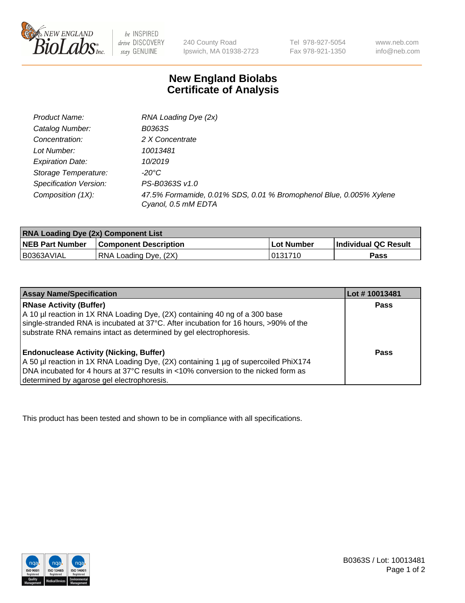

 $be$  INSPIRED drive DISCOVERY stay GENUINE

240 County Road Ipswich, MA 01938-2723 Tel 978-927-5054 Fax 978-921-1350

www.neb.com info@neb.com

## **New England Biolabs Certificate of Analysis**

| Product Name:           | RNA Loading Dye (2x)                                                                      |
|-------------------------|-------------------------------------------------------------------------------------------|
| Catalog Number:         | B0363S                                                                                    |
| Concentration:          | 2 X Concentrate                                                                           |
| Lot Number:             | 10013481                                                                                  |
| <b>Expiration Date:</b> | 10/2019                                                                                   |
| Storage Temperature:    | -20°C                                                                                     |
| Specification Version:  | PS-B0363S v1.0                                                                            |
| Composition (1X):       | 47.5% Formamide, 0.01% SDS, 0.01 % Bromophenol Blue, 0.005% Xylene<br>Cyanol, 0.5 mM EDTA |

| <b>RNA Loading Dye (2x) Component List</b> |                              |                   |                      |  |
|--------------------------------------------|------------------------------|-------------------|----------------------|--|
| <b>NEB Part Number</b>                     | <b>Component Description</b> | <b>Lot Number</b> | Individual QC Result |  |
| B0363AVIAL                                 | RNA Loading Dye, (2X)        | 10131710          | Pass                 |  |

| <b>Assay Name/Specification</b>                                                                                                                                                                                                                                             | Lot # 10013481 |
|-----------------------------------------------------------------------------------------------------------------------------------------------------------------------------------------------------------------------------------------------------------------------------|----------------|
| <b>RNase Activity (Buffer)</b><br>A 10 µl reaction in 1X RNA Loading Dye, (2X) containing 40 ng of a 300 base<br>single-stranded RNA is incubated at 37°C. After incubation for 16 hours, >90% of the<br>substrate RNA remains intact as determined by gel electrophoresis. | <b>Pass</b>    |
| <b>Endonuclease Activity (Nicking, Buffer)</b><br>A 50 µl reaction in 1X RNA Loading Dye, (2X) containing 1 µg of supercoiled PhiX174<br>DNA incubated for 4 hours at 37°C results in <10% conversion to the nicked form as<br>determined by agarose gel electrophoresis.   | Pass           |

This product has been tested and shown to be in compliance with all specifications.